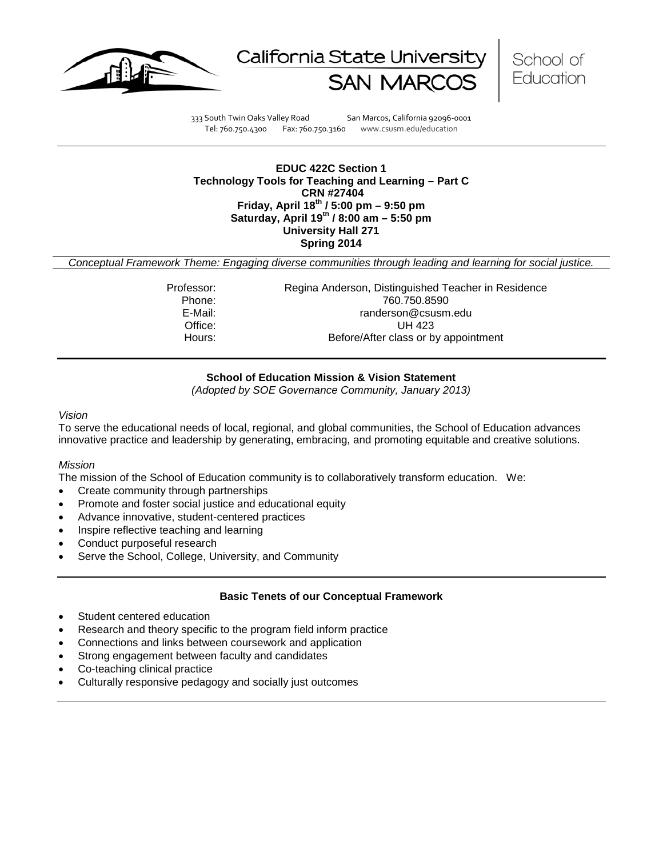





333 South Twin Oaks Valley Road San Marcos, California 92096-0001 Tel: 760.750.4300 Fax: 760.750.3160 www.csusm.edu/education

### **EDUC 422C Section 1 Technology Tools for Teaching and Learning – Part C CRN #27404 Friday, April 18th / 5:00 pm – 9:50 pm Saturday, April 19th / 8:00 am – 5:50 pm University Hall 271 Spring 2014**

*Conceptual Framework Theme: Engaging diverse communities through leading and learning for social justice.*

Professor: Regina Anderson, Distinguished Teacher in Residence Phone: 760.750.8590<br>E-Mail: 760.750.8590<br>E-Mail: 760.750.8590 randerson@csusm.edu Office: UH 423 Hours: Before/After class or by appointment

### **School of Education Mission & Vision Statement**

*(Adopted by SOE Governance Community, January 2013)*

#### *Vision*

To serve the educational needs of local, regional, and global communities, the School of Education advances innovative practice and leadership by generating, embracing, and promoting equitable and creative solutions.

### *Mission*

The mission of the School of Education community is to collaboratively transform education. We:

- Create community through partnerships
- Promote and foster social justice and educational equity
- Advance innovative, student-centered practices
- Inspire reflective teaching and learning
- Conduct purposeful research
- Serve the School, College, University, and Community

### **Basic Tenets of our Conceptual Framework**

- Student centered education
- Research and theory specific to the program field inform practice
- Connections and links between coursework and application
- Strong engagement between faculty and candidates
- Co-teaching clinical practice
- Culturally responsive pedagogy and socially just outcomes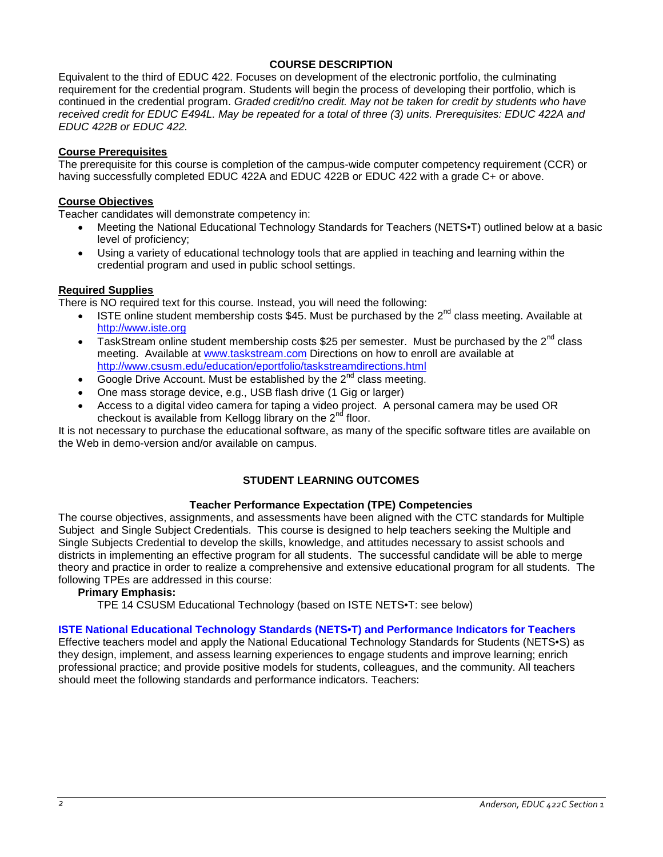# **COURSE DESCRIPTION**

Equivalent to the third of EDUC 422. Focuses on development of the electronic portfolio, the culminating requirement for the credential program. Students will begin the process of developing their portfolio, which is continued in the credential program. *Graded credit/no credit. May not be taken for credit by students who have received credit for EDUC E494L. May be repeated for a total of three (3) units. Prerequisites: EDUC 422A and EDUC 422B or EDUC 422.*

### **Course Prerequisites**

The prerequisite for this course is completion of the campus-wide computer competency requirement (CCR) or having successfully completed EDUC 422A and EDUC 422B or EDUC 422 with a grade C+ or above.

### **Course Objectives**

Teacher candidates will demonstrate competency in:

- Meeting the National Educational Technology Standards for Teachers (NETS•T) outlined below at a basic level of proficiency;
- Using a variety of educational technology tools that are applied in teaching and learning within the credential program and used in public school settings.

### **Required Supplies**

There is NO required text for this course. Instead, you will need the following:

- ISTE online student membership costs \$45. Must be purchased by the  $2^{nd}$  class meeting. Available at [http://www.iste.org](http://www.iste.org/)
- TaskStream online student membership costs \$25 per semester. Must be purchased by the  $2^{nd}$  class meeting. Available at [www.taskstream.com](http://www.taskstream.com/) Directions on how to enroll are available at <http://www.csusm.edu/education/eportfolio/taskstreamdirections.html>
- Google Drive Account. Must be established by the  $2^{nd}$  class meeting.
- One mass storage device, e.g., USB flash drive (1 Gig or larger)
- Access to a digital video camera for taping a video project. A personal camera may be used OR checkout is available from Kellogg library on the  $2<sup>nd</sup>$  floor.

It is not necessary to purchase the educational software, as many of the specific software titles are available on the Web in demo-version and/or available on campus.

# **STUDENT LEARNING OUTCOMES**

### **Teacher Performance Expectation (TPE) Competencies**

The course objectives, assignments, and assessments have been aligned with the CTC standards for Multiple Subject and Single Subject Credentials. This course is designed to help teachers seeking the Multiple and Single Subjects Credential to develop the skills, knowledge, and attitudes necessary to assist schools and districts in implementing an effective program for all students. The successful candidate will be able to merge theory and practice in order to realize a comprehensive and extensive educational program for all students. The following TPEs are addressed in this course:

### **Primary Emphasis:**

TPE 14 CSUSM Educational Technology (based on ISTE NETS•T: see below)

### **ISTE National Educational Technology Standards (NETS•T) and Performance Indicators for Teachers**

Effective teachers model and apply the National Educational Technology Standards for Students (NETS•S) as they design, implement, and assess learning experiences to engage students and improve learning; enrich professional practice; and provide positive models for students, colleagues, and the community. All teachers should meet the following standards and performance indicators. Teachers: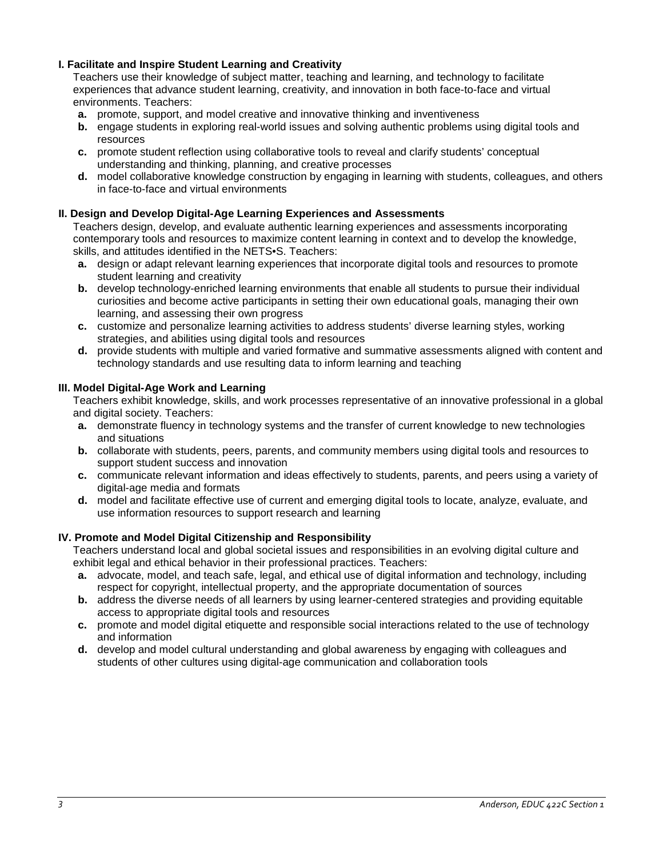# **I. Facilitate and Inspire Student Learning and Creativity**

Teachers use their knowledge of subject matter, teaching and learning, and technology to facilitate experiences that advance student learning, creativity, and innovation in both face-to-face and virtual environments. Teachers:

- **a.** promote, support, and model creative and innovative thinking and inventiveness
- **b.** engage students in exploring real-world issues and solving authentic problems using digital tools and resources
- **c.** promote student reflection using collaborative tools to reveal and clarify students' conceptual understanding and thinking, planning, and creative processes
- **d.** model collaborative knowledge construction by engaging in learning with students, colleagues, and others in face-to-face and virtual environments

# **II. Design and Develop Digital-Age Learning Experiences and Assessments**

Teachers design, develop, and evaluate authentic learning experiences and assessments incorporating contemporary tools and resources to maximize content learning in context and to develop the knowledge, skills, and attitudes identified in the NETS•S. Teachers:

- **a.** design or adapt relevant learning experiences that incorporate digital tools and resources to promote student learning and creativity
- **b.** develop technology-enriched learning environments that enable all students to pursue their individual curiosities and become active participants in setting their own educational goals, managing their own learning, and assessing their own progress
- **c.** customize and personalize learning activities to address students' diverse learning styles, working strategies, and abilities using digital tools and resources
- **d.** provide students with multiple and varied formative and summative assessments aligned with content and technology standards and use resulting data to inform learning and teaching

### **III. Model Digital-Age Work and Learning**

Teachers exhibit knowledge, skills, and work processes representative of an innovative professional in a global and digital society. Teachers:

- **a.** demonstrate fluency in technology systems and the transfer of current knowledge to new technologies and situations
- **b.** collaborate with students, peers, parents, and community members using digital tools and resources to support student success and innovation
- **c.** communicate relevant information and ideas effectively to students, parents, and peers using a variety of digital-age media and formats
- **d.** model and facilitate effective use of current and emerging digital tools to locate, analyze, evaluate, and use information resources to support research and learning

### **IV. Promote and Model Digital Citizenship and Responsibility**

Teachers understand local and global societal issues and responsibilities in an evolving digital culture and exhibit legal and ethical behavior in their professional practices. Teachers:

- **a.** advocate, model, and teach safe, legal, and ethical use of digital information and technology, including respect for copyright, intellectual property, and the appropriate documentation of sources
- **b.** address the diverse needs of all learners by using learner-centered strategies and providing equitable access to appropriate digital tools and resources
- **c.** promote and model digital etiquette and responsible social interactions related to the use of technology and information
- **d.** develop and model cultural understanding and global awareness by engaging with colleagues and students of other cultures using digital-age communication and collaboration tools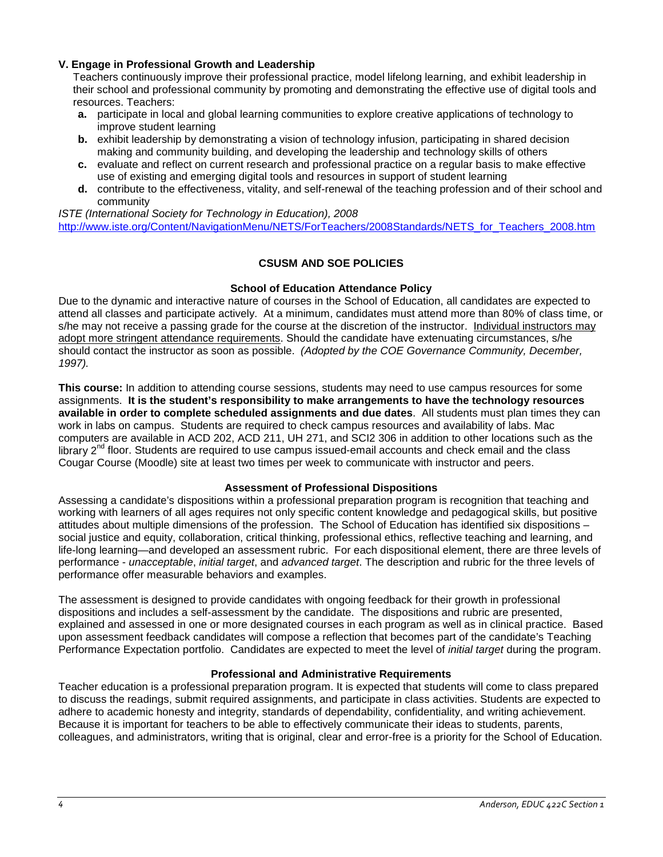### **V. Engage in Professional Growth and Leadership**

Teachers continuously improve their professional practice, model lifelong learning, and exhibit leadership in their school and professional community by promoting and demonstrating the effective use of digital tools and resources. Teachers:

- **a.** participate in local and global learning communities to explore creative applications of technology to improve student learning
- **b.** exhibit leadership by demonstrating a vision of technology infusion, participating in shared decision making and community building, and developing the leadership and technology skills of others
- **c.** evaluate and reflect on current research and professional practice on a regular basis to make effective use of existing and emerging digital tools and resources in support of student learning
- **d.** contribute to the effectiveness, vitality, and self-renewal of the teaching profession and of their school and community

*ISTE (International Society for Technology in Education), 2008* [http://www.iste.org/Content/NavigationMenu/NETS/ForTeachers/2008Standards/NETS\\_for\\_Teachers\\_2008.htm](http://www.iste.org/Content/NavigationMenu/NETS/ForTeachers/2008Standards/NETS_for_Teachers_2008.htm)

### **CSUSM AND SOE POLICIES**

### **School of Education Attendance Policy**

Due to the dynamic and interactive nature of courses in the School of Education, all candidates are expected to attend all classes and participate actively. At a minimum, candidates must attend more than 80% of class time, or s/he may not receive a passing grade for the course at the discretion of the instructor. Individual instructors may adopt more stringent attendance requirements. Should the candidate have extenuating circumstances, s/he should contact the instructor as soon as possible. *(Adopted by the COE Governance Community, December, 1997).*

**This course:** In addition to attending course sessions, students may need to use campus resources for some assignments. **It is the student's responsibility to make arrangements to have the technology resources available in order to complete scheduled assignments and due dates**. All students must plan times they can work in labs on campus. Students are required to check campus resources and availability of labs. Mac computers are available in ACD 202, ACD 211, UH 271, and SCI2 306 in addition to other locations such as the library  $2^{nd}$  floor. Students are required to use campus issued-email accounts and check email and the class Cougar Course (Moodle) site at least two times per week to communicate with instructor and peers.

### **Assessment of Professional Dispositions**

Assessing a candidate's dispositions within a professional preparation program is recognition that teaching and working with learners of all ages requires not only specific content knowledge and pedagogical skills, but positive attitudes about multiple dimensions of the profession. The School of Education has identified six dispositions – social justice and equity, collaboration, critical thinking, professional ethics, reflective teaching and learning, and life-long learning—and developed an assessment rubric. For each dispositional element, there are three levels of performance - *unacceptable*, *initial target*, and *advanced target*. The description and rubric for the three levels of performance offer measurable behaviors and examples.

The assessment is designed to provide candidates with ongoing feedback for their growth in professional dispositions and includes a self-assessment by the candidate. The dispositions and rubric are presented, explained and assessed in one or more designated courses in each program as well as in clinical practice. Based upon assessment feedback candidates will compose a reflection that becomes part of the candidate's Teaching Performance Expectation portfolio. Candidates are expected to meet the level of *initial target* during the program.

### **Professional and Administrative Requirements**

Teacher education is a professional preparation program. It is expected that students will come to class prepared to discuss the readings, submit required assignments, and participate in class activities. Students are expected to adhere to academic honesty and integrity, standards of dependability, confidentiality, and writing achievement. Because it is important for teachers to be able to effectively communicate their ideas to students, parents, colleagues, and administrators, writing that is original, clear and error-free is a priority for the School of Education.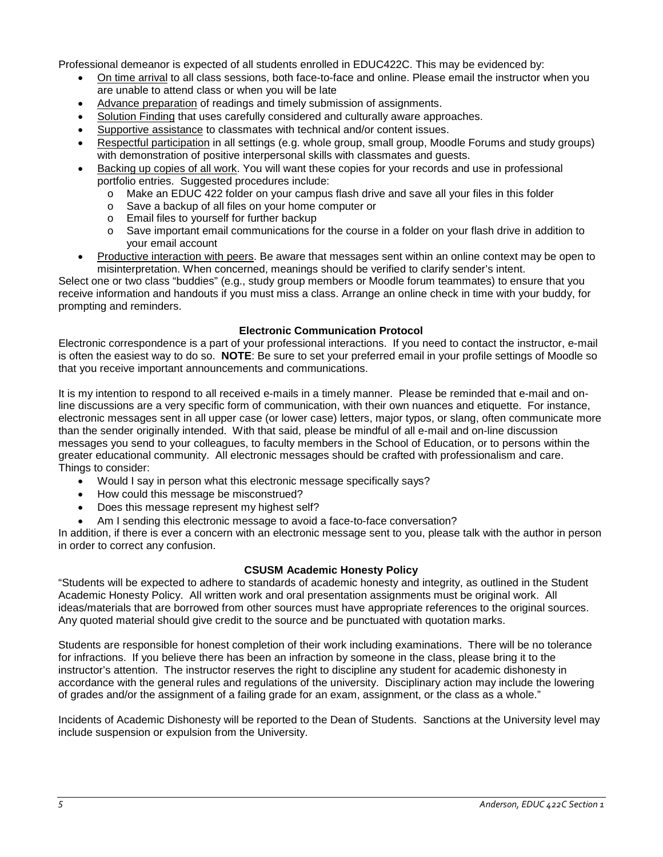Professional demeanor is expected of all students enrolled in EDUC422C. This may be evidenced by:

- On time arrival to all class sessions, both face-to-face and online. Please email the instructor when you are unable to attend class or when you will be late
- Advance preparation of readings and timely submission of assignments.
- Solution Finding that uses carefully considered and culturally aware approaches.
- Supportive assistance to classmates with technical and/or content issues.
- Respectful participation in all settings (e.g. whole group, small group, Moodle Forums and study groups) with demonstration of positive interpersonal skills with classmates and guests.
- Backing up copies of all work. You will want these copies for your records and use in professional portfolio entries. Suggested procedures include:
	- o Make an EDUC 422 folder on your campus flash drive and save all your files in this folder
	- o Save a backup of all files on your home computer or
	- $\circ$  Email files to yourself for further backup<br> $\circ$  Save important email communications fo
	- Save important email communications for the course in a folder on your flash drive in addition to your email account
- Productive interaction with peers. Be aware that messages sent within an online context may be open to misinterpretation. When concerned, meanings should be verified to clarify sender's intent.

Select one or two class "buddies" (e.g., study group members or Moodle forum teammates) to ensure that you receive information and handouts if you must miss a class. Arrange an online check in time with your buddy, for prompting and reminders.

### **Electronic Communication Protocol**

Electronic correspondence is a part of your professional interactions. If you need to contact the instructor, e-mail is often the easiest way to do so. **NOTE**: Be sure to set your preferred email in your profile settings of Moodle so that you receive important announcements and communications.

It is my intention to respond to all received e-mails in a timely manner. Please be reminded that e-mail and online discussions are a very specific form of communication, with their own nuances and etiquette. For instance, electronic messages sent in all upper case (or lower case) letters, major typos, or slang, often communicate more than the sender originally intended. With that said, please be mindful of all e-mail and on-line discussion messages you send to your colleagues, to faculty members in the School of Education, or to persons within the greater educational community. All electronic messages should be crafted with professionalism and care. Things to consider:

- Would I say in person what this electronic message specifically says?
- How could this message be misconstrued?
- Does this message represent my highest self?
- Am I sending this electronic message to avoid a face-to-face conversation?

In addition, if there is ever a concern with an electronic message sent to you, please talk with the author in person in order to correct any confusion.

### **CSUSM Academic Honesty Policy**

"Students will be expected to adhere to standards of academic honesty and integrity, as outlined in the Student Academic Honesty Policy. All written work and oral presentation assignments must be original work. All ideas/materials that are borrowed from other sources must have appropriate references to the original sources. Any quoted material should give credit to the source and be punctuated with quotation marks.

Students are responsible for honest completion of their work including examinations. There will be no tolerance for infractions. If you believe there has been an infraction by someone in the class, please bring it to the instructor's attention. The instructor reserves the right to discipline any student for academic dishonesty in accordance with the general rules and regulations of the university. Disciplinary action may include the lowering of grades and/or the assignment of a failing grade for an exam, assignment, or the class as a whole."

Incidents of Academic Dishonesty will be reported to the Dean of Students. Sanctions at the University level may include suspension or expulsion from the University.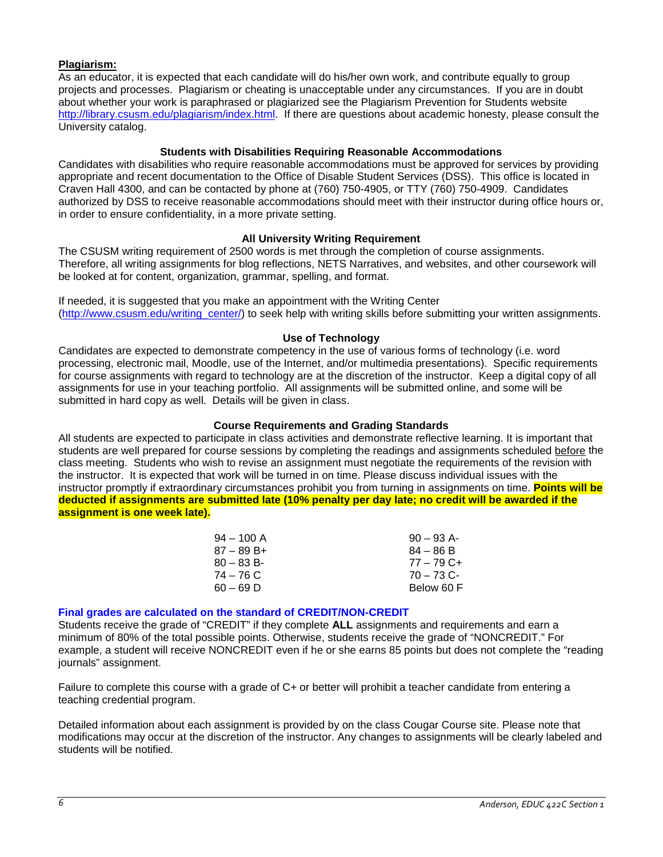# **Plagiarism:**

As an educator, it is expected that each candidate will do his/her own work, and contribute equally to group projects and processes. Plagiarism or cheating is unacceptable under any circumstances. If you are in doubt about whether your work is paraphrased or plagiarized see the Plagiarism Prevention for Students website [http://library.csusm.edu/plagiarism/index.html.](http://library.csusm.edu/plagiarism/index.html) If there are questions about academic honesty, please consult the University catalog.

### **Students with Disabilities Requiring Reasonable Accommodations**

Candidates with disabilities who require reasonable accommodations must be approved for services by providing appropriate and recent documentation to the Office of Disable Student Services (DSS). This office is located in Craven Hall 4300, and can be contacted by phone at (760) 750-4905, or TTY (760) 750-4909. Candidates authorized by DSS to receive reasonable accommodations should meet with their instructor during office hours or, in order to ensure confidentiality, in a more private setting.

### **All University Writing Requirement**

The CSUSM writing requirement of 2500 words is met through the completion of course assignments. Therefore, all writing assignments for blog reflections, NETS Narratives, and websites, and other coursework will be looked at for content, organization, grammar, spelling, and format.

If needed, it is suggested that you make an appointment with the Writing Center [\(http://www.csusm.edu/writing\\_center/\)](http://www.csusm.edu/writing_center/) to seek help with writing skills before submitting your written assignments.

### **Use of Technology**

Candidates are expected to demonstrate competency in the use of various forms of technology (i.e. word processing, electronic mail, Moodle, use of the Internet, and/or multimedia presentations). Specific requirements for course assignments with regard to technology are at the discretion of the instructor. Keep a digital copy of all assignments for use in your teaching portfolio. All assignments will be submitted online, and some will be submitted in hard copy as well. Details will be given in class.

### **Course Requirements and Grading Standards**

All students are expected to participate in class activities and demonstrate reflective learning. It is important that students are well prepared for course sessions by completing the readings and assignments scheduled before the class meeting. Students who wish to revise an assignment must negotiate the requirements of the revision with the instructor. It is expected that work will be turned in on time. Please discuss individual issues with the instructor promptly if extraordinary circumstances prohibit you from turning in assignments on time. **Points will be deducted if assignments are submitted late (10% penalty per day late; no credit will be awarded if the assignment is one week late).**

| $94 - 100$ A  | $90 - 93$ A- |
|---------------|--------------|
| $87 - 89 B +$ | $84 - 86 B$  |
| $80 - 83 B$   | $77 - 79$ C+ |
| 74 – 76 C     | $70 - 73$ C- |
| $60 - 69$ D   | Below 60 F   |

## **Final grades are calculated on the standard of CREDIT/NON-CREDIT**

Students receive the grade of "CREDIT" if they complete **ALL** assignments and requirements and earn a minimum of 80% of the total possible points. Otherwise, students receive the grade of "NONCREDIT." For example, a student will receive NONCREDIT even if he or she earns 85 points but does not complete the "reading journals" assignment.

Failure to complete this course with a grade of C+ or better will prohibit a teacher candidate from entering a teaching credential program.

Detailed information about each assignment is provided by on the class Cougar Course site. Please note that modifications may occur at the discretion of the instructor. Any changes to assignments will be clearly labeled and students will be notified.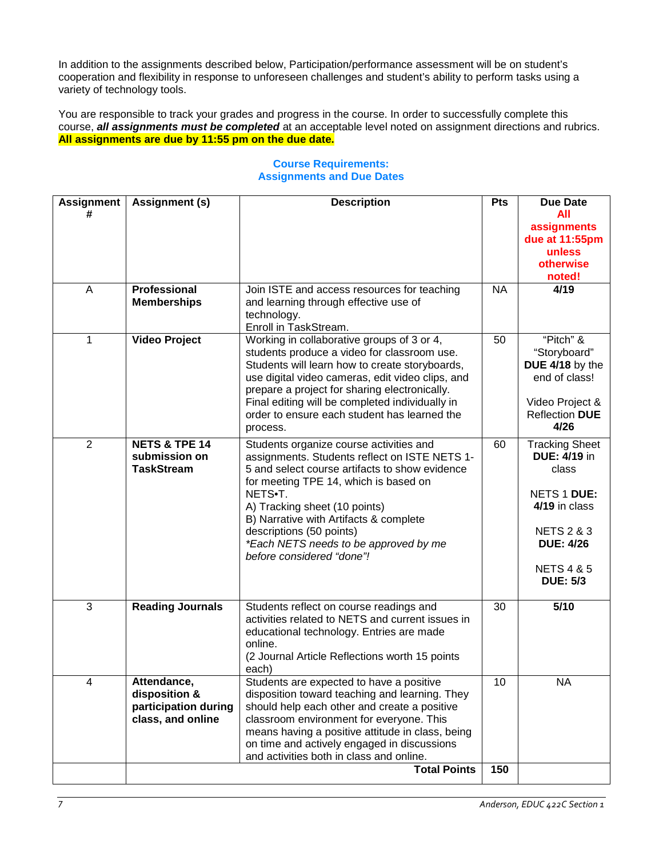In addition to the assignments described below, Participation/performance assessment will be on student's cooperation and flexibility in response to unforeseen challenges and student's ability to perform tasks using a variety of technology tools.

You are responsible to track your grades and progress in the course. In order to successfully complete this course, *all assignments must be completed* at an acceptable level noted on assignment directions and rubrics. **All assignments are due by 11:55 pm on the due date.**

|                                                                                                                                                                                                                                                                                                                                                                             |                                                                                                                                                                 | All<br>assignments<br>due at 11:55pm<br>unless<br>otherwise<br>noted!                                                                                                          |
|-----------------------------------------------------------------------------------------------------------------------------------------------------------------------------------------------------------------------------------------------------------------------------------------------------------------------------------------------------------------------------|-----------------------------------------------------------------------------------------------------------------------------------------------------------------|--------------------------------------------------------------------------------------------------------------------------------------------------------------------------------|
| Join ISTE and access resources for teaching<br>and learning through effective use of<br>technology.<br>Enroll in TaskStream.                                                                                                                                                                                                                                                | <b>NA</b>                                                                                                                                                       | 4/19                                                                                                                                                                           |
| students produce a video for classroom use.<br>Students will learn how to create storyboards,<br>use digital video cameras, edit video clips, and<br>prepare a project for sharing electronically.<br>Final editing will be completed individually in<br>order to ensure each student has learned the<br>process.                                                           | 50                                                                                                                                                              | "Pitch" &<br>"Storyboard"<br>DUE 4/18 by the<br>end of class!<br>Video Project &<br><b>Reflection DUE</b><br>4/26                                                              |
| Students organize course activities and<br>assignments. Students reflect on ISTE NETS 1-<br>5 and select course artifacts to show evidence<br>for meeting TPE 14, which is based on<br>NETS.T.<br>A) Tracking sheet (10 points)<br>B) Narrative with Artifacts & complete<br>descriptions (50 points)<br>*Each NETS needs to be approved by me<br>before considered "done"! | 60                                                                                                                                                              | <b>Tracking Sheet</b><br><b>DUE: 4/19 in</b><br>class<br>NETS 1 DUE:<br>4/19 in class<br><b>NETS 2 &amp; 3</b><br><b>DUE: 4/26</b><br><b>NETS 4 &amp; 5</b><br><b>DUE: 5/3</b> |
| Students reflect on course readings and<br>activities related to NETS and current issues in<br>educational technology. Entries are made<br>online.<br>(2 Journal Article Reflections worth 15 points<br>each)                                                                                                                                                               | 30                                                                                                                                                              | 5/10                                                                                                                                                                           |
| Students are expected to have a positive<br>disposition toward teaching and learning. They<br>should help each other and create a positive<br>classroom environment for everyone. This<br>means having a positive attitude in class, being<br>on time and actively engaged in discussions<br>and activities both in class and online.<br><b>Total Points</b>                | 10<br>150                                                                                                                                                       | NA.                                                                                                                                                                            |
| <b>Memberships</b><br><b>Video Project</b><br>disposition &                                                                                                                                                                                                                                                                                                                 | Working in collaborative groups of 3 or 4,<br><b>NETS &amp; TPE 14</b><br>submission on<br><b>Reading Journals</b><br>participation during<br>class, and online |                                                                                                                                                                                |

# **Course Requirements: Assignments and Due Dates**